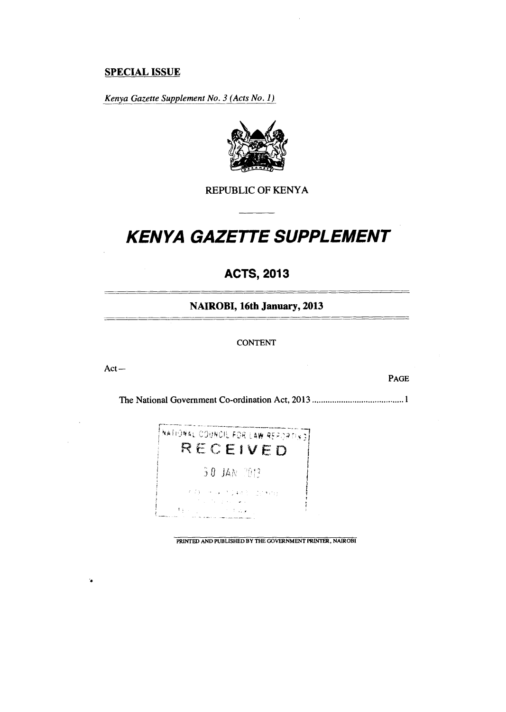# **SPECIAL ISSUE**

*Kenya Gazette Supplement No. 3 (Acts No. 1)* 



REPUBLIC OF KENYA

# *KENYA GAZETTE SUPPLEMENT*

# **ACTS, 2013**

**NAIROBI, 16th January, 2013** 

#### CONTENT

Act —

 $\ddot{\bullet}$ 

PAGE

\_\_\_\_\_\_\_\_\_\_\_\_\_\_\_\_\_\_

The National Government Co-ordination Act, 2013 1



PRINTED AND PUBLISHED BY THE GOVERNMENT PRINTER, NAIROBI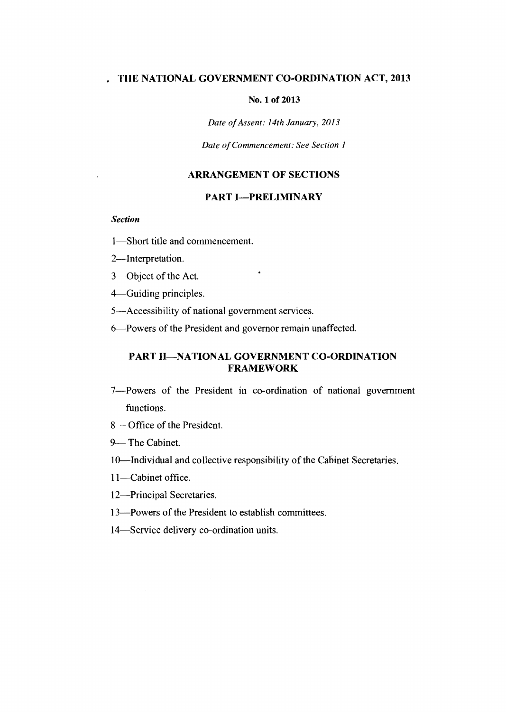# **. THE NATIONAL GOVERNMENT CO-ORDINATION ACT, 2013**

#### **No. 1 of 2013**

*Date of Assent: 14th January, 2013* 

*Date of Commencement: See Section 1* 

# **ARRANGEMENT OF SECTIONS**

# **PART I—PRELIMINARY**

 $\bullet$ 

*Section* 

- 1—Short title and commencement.
- 2—Interpretation.
- 3—Object of the Act.

4—Guiding principles.

- 5—Accessibility of national government services.
- 6—Powers of the President and governor remain unaffected.

# **PART II—NATIONAL GOVERNMENT CO-ORDINATION FRAMEWORK**

- 7—Powers of the President in co-ordination of national government functions.
- 8— Office of the President.
- 9— The Cabinet.
- 10—Individual and collective responsibility of the Cabinet Secretaries.
- 11—Cabinet office.
- 12—Principal Secretaries.
- 13—Powers of the President to establish committees.
- 14—Service delivery co-ordination units.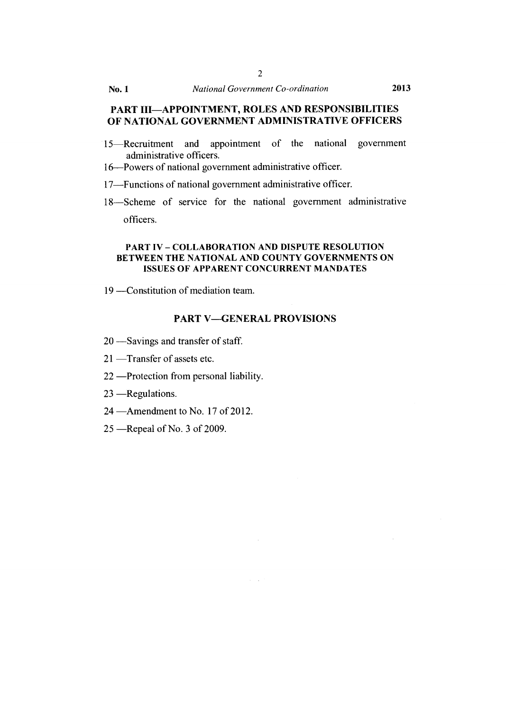# **PART III—APPOINTMENT, ROLES AND RESPONSIBILITIES OF NATIONAL GOVERNMENT ADMINISTRATIVE OFFICERS**

- 15—Recruitment and appointment of the national government administrative officers.
- 16—Powers of national government administrative officer.
- 17—Functions of national government administrative officer.
- 18—Scheme of service for the national government administrative officers.

#### PART IV – COLLABORATION AND DISPUTE RESOLUTION BETWEEN THE NATIONAL AND COUNTY GOVERNMENTS ON ISSUES OF APPARENT CONCURRENT MANDATES

19 —Constitution of mediation team.

#### **PART V—GENERAL PROVISIONS**

 $\alpha = \sqrt{1 + \epsilon}$ 

- 20 —Savings and transfer of staff.
- 21 —Transfer of assets etc.
- 22 —Protection from personal liability.
- 23 —Regulations.
- 24 —Amendment to No. 17 of 2012.
- 25 —Repeal of No. 3 of 2009.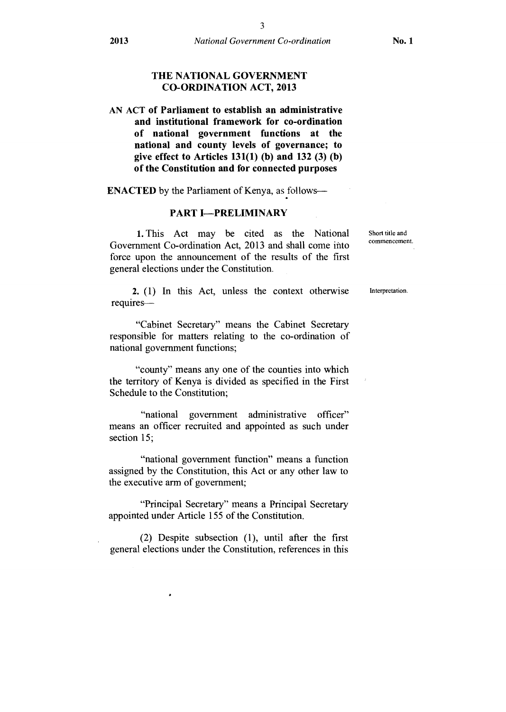#### **THE NATIONAL GOVERNMENT CO-ORDINATION ACT, 2013**

# AN ACT **of Parliament to establish an administrative and institutional framework for co-ordination of national government functions at the national and county levels of governance; to give effect to Articles 131(1) (b) and 132 (3) (b) of the Constitution and for connected purposes**

**ENACTED** by the Parliament of Kenya, as follows—

#### **PART I—PRELIMINARY**

1. This Act may be cited as the National Government Co-ordination Act, 2013 and shall come into force upon the announcement of the results of the first general elections under the Constitution.

**2.** (1) In this Act, unless the context otherwise requires—

"Cabinet Secretary" means the Cabinet Secretary responsible for matters relating to the co-ordination of national government functions;

"county" means any one of the counties into which the territory of Kenya is divided as specified in the First Schedule to the Constitution;

"national government administrative officer" means an officer recruited and appointed as such under section 15;

"national government function" means a function assigned by the Constitution, this Act or any other law to the executive arm of government;

"Principal Secretary" means a Principal Secretary appointed under Article 155 of the Constitution.

(2) Despite subsection (1), until after the first general elections under the Constitution, references in this Short title and commencement.

Interpretation.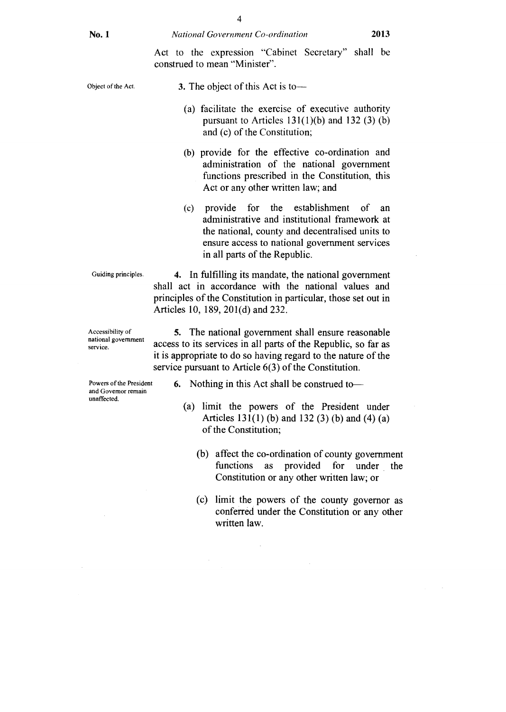Act to the expression "Cabinet Secretary" shall be construed to mean "Minister".

3. The object of this Act is to—

- (a) facilitate the exercise of executive authority pursuant to Articles  $131(1)(b)$  and  $132(3)(b)$ and (c) of the Constitution;
- (b) provide for the effective co-ordination and administration of the national government functions prescribed in the Constitution, this Act or any other written law; and
- (c) provide for the establishment of an administrative and institutional framework at the national, county and decentralised units to ensure access to national government services in all parts of the Republic.

Guiding principles.

Accessibility of national government service.

Powers of the President and Governor remain unaffected.

**4.** In fulfilling its mandate, the national government shall act in accordance with the national values and principles of the Constitution in particular, those set out in Articles 10, 189, 201(d) and 232.

5. The national government shall ensure reasonable access to its services in all parts of the Republic, so far as it is appropriate to do so having regard to the nature of the service pursuant to Article 6(3) of the Constitution.

- 6. Nothing in this Act shall be construed to—
	- (a) limit the powers of the President under Articles 131(1) (b) and 132 (3) (b) and (4) (a) of the Constitution;
		- (b) affect the co-ordination of county government functions as provided for under the Constitution or any other written law; or
		- (c) limit the powers of the county governor as conferred under the Constitution or any other written law.

Object of the Act.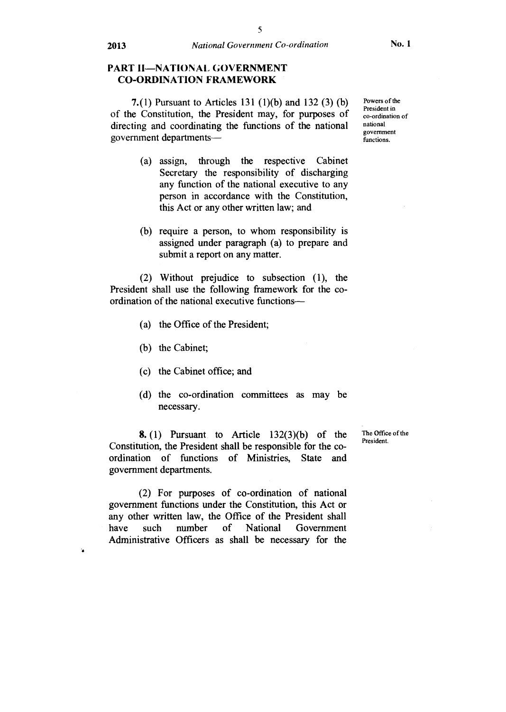# **PART II—NATIONAL GOVERNMENT CO-ORDINATION FRAMEWORK**

**7.(1)** Pursuant to Articles 131 (1)(b) and 132 (3) (b) of the Constitution, the President may, for purposes of directing and coordinating the functions of the national government departments—

- (a) assign, through the respective Cabinet Secretary the responsibility of discharging any function of the national executive to any person in accordance with the Constitution, this Act or any other written law; and
- (b) require a person, to whom responsibility is assigned under paragraph (a) to prepare and submit a report on any matter.

(2) Without prejudice to subsection (1), the President shall use the following framework for the coordination of the national executive functions—

- (a) the Office of the President;
- (b) the Cabinet;
- (c) the Cabinet office; and
- (d) the co-ordination committees as may be necessary.

**8.** (1) Pursuant to Article  $132(3)(b)$  of the Constitution, the President shall be responsible for the coordination of functions of Ministries, State and government departments.

(2) For purposes of co-ordination of national government functions under the Constitution, this Act or any other written law, the Office of the President shall have such number of National Government Administrative Officers as shall be necessary for the The Office of the President.

Powers of the President in co-ordination of national government functions.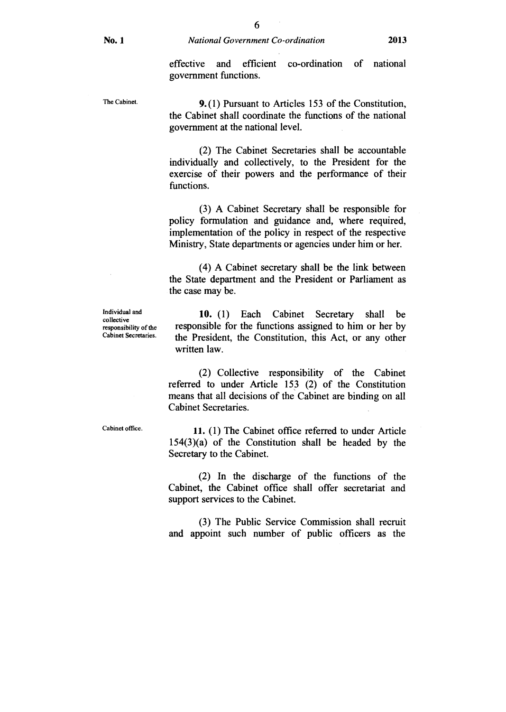The Cabinet.

9. (1) Pursuant to Articles 153 of the Constitution, the Cabinet shall coordinate the functions of the national government at the national level.

(2) The Cabinet Secretaries shall be accountable individually and collectively, to the President for the exercise of their powers and the performance of their functions.

(3) A Cabinet Secretary shall be responsible for policy formulation and guidance and, where required, implementation of the policy in respect of the respective Ministry, State departments or agencies under him or her.

(4) A Cabinet secretary shall be the link between the State department and the President or Parliament as the case may be.

Individual and collective responsibility of the Cabinet Secretaries.

10. (1) Each Cabinet Secretary shall be responsible for the functions assigned to him or her by the President, the Constitution, this Act, or any other written law.

(2) Collective responsibility of the Cabinet referred to under Article 153 (2) of the Constitution means that all decisions of the Cabinet are binding on all Cabinet Secretaries.

Cabinet office.

11. (1) The Cabinet office referred to under Article  $154(3)(a)$  of the Constitution shall be headed by the Secretary to the Cabinet.

(2) In the discharge of the functions of the Cabinet, the Cabinet office shall offer secretariat and support services to the Cabinet.

(3) The Public Service Commission shall recruit and appoint such number of public officers as the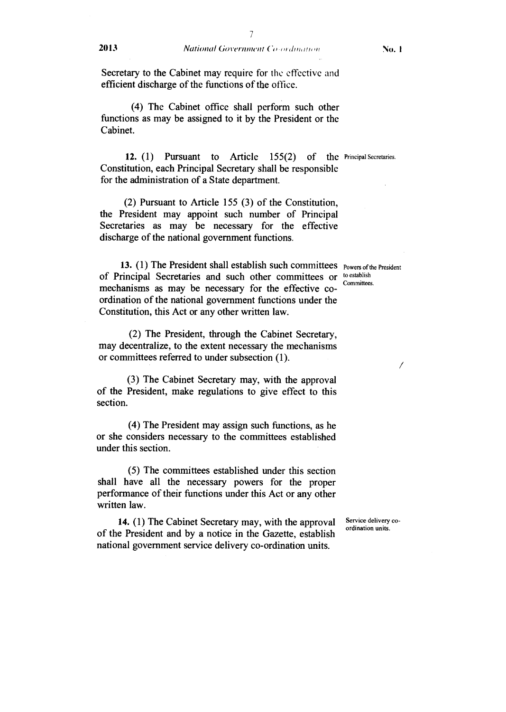Secretary to the Cabinet may require for the effective and efficient discharge of the functions of the office.

(4) The Cabinet office shall perform such other functions as may be assigned to it by the President or the Cabinet.

**12.** (1) Pursuant to Article  $155(2)$ Constitution, each Principal Secretary shall be responsible for the administration of a State department.

(2) Pursuant to Article 155 (3) of the Constitution, the President may appoint such number of Principal Secretaries as may be necessary for the effective discharge of the national government functions.

13. (1) The President shall establish such committees powers of the President of Principal Secretaries and such other committees or to establish mechanisms as may be necessary for the effective coordination of the national government functions under the Constitution, this Act or any other written law.

Committees.

 $\sqrt{2}$ 

(2) The President, through the Cabinet Secretary, may decentralize, to the extent necessary the mechanisms or committees referred to under subsection (1).

(3) The Cabinet Secretary may, with the approval of the President, make regulations to give effect to this section.

(4) The President may assign such functions, as he or she considers necessary to the committees established under this section.

(5) The committees established under this section shall have all the necessary powers for the proper performance of their functions under this Act or any other written law.

**14.** (1) The Cabinet Secretary may, with the approval of the President and by a notice in the Gazette, establish national government service delivery co-ordination units.

Service delivery coordination units.

of the Principal Secretaries.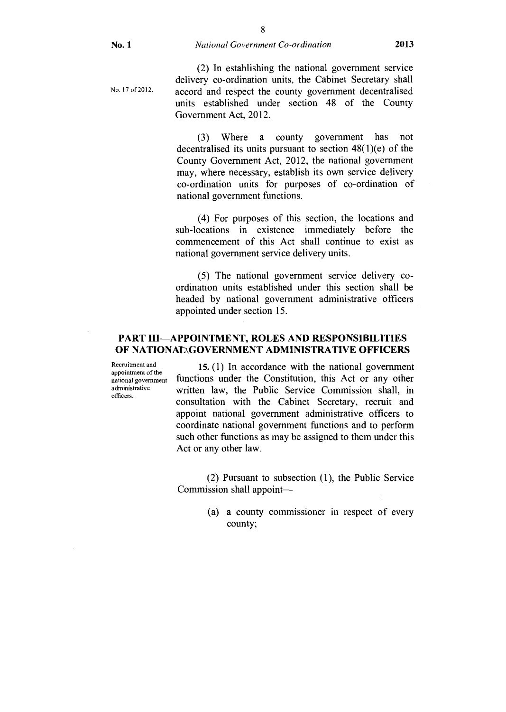No. 17 of 2012.

(2) In establishing the national government service delivery co-ordination units, the Cabinet Secretary shall accord and respect the county government decentralised units established under section 48 of the County Government Act, 2012.

(3) Where a county government has not decentralised its units pursuant to section 48(1)(e) of the County Government Act, 2012, the national government may, where necessary, establish its own service delivery co-ordination units for purposes of co-ordination of national government functions.

(4) For purposes of this section, the locations and sub-locations in existence immediately before the commencement of this Act shall continue to exist as national government service delivery units.

(5) The national government service delivery coordination units established under this section shall be headed by national government administrative officers appointed under section 15.

# **PART III—APPOINTMENT, ROLES AND RESPONSIBILITIES OF NATIONAL\GOVERNMENT ADMINISTRATIVE OFFICERS**

Recruitment and appointment of the national government administrative officers.

15. (1) In accordance with the national government functions under the Constitution, this Act or any other written law, the Public Service Commission shall, in consultation with the Cabinet Secretary, recruit and appoint national government administrative officers to coordinate national government functions and to perform such other functions as may be assigned to them under this Act or any other law.

(2) Pursuant to subsection (1), the Public Service Commission shall appoint—

> (a) a county commissioner in respect of every county;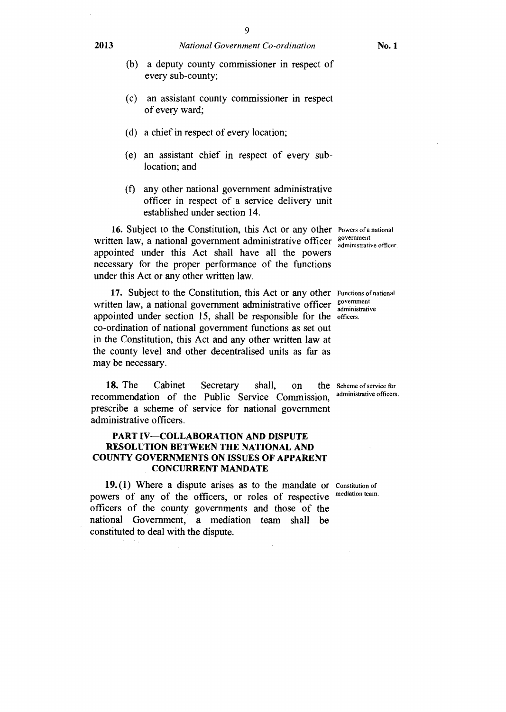- (b) a deputy county commissioner in respect of every sub-county;
- (c) an assistant county commissioner in respect of every ward;
- (d) a chief in respect of every location;
- (e) an assistant chief in respect of every sublocation; and
- (f) any other national government administrative officer in respect of a service delivery unit established under section 14.

16. Subject to the Constitution, this Act or any other Powers of a national written law, a national government administrative officer sovernment appointed under this Act shall have all the powers necessary for the proper performance of the functions under this Act or any other written law.

17. Subject to the Constitution, this Act or any other Functions of national written law, a national government administrative officer  $\frac{g_{\text{overment}}}{g_{\text{dmin}}(x_{\text{right}})}$ appointed under section 15, shall be responsible for the officers. co-ordination of national government functions as set out in the Constitution, this Act and any other written law at the county level and other decentralised units as far as may be necessary.

**18.** The Cabinet Secretary shall, on the Scheme of service for commandation of the Public Service Commission administrative officers. recommendation of the Public Service Commission, prescribe a scheme of service for national government administrative officers.

#### **PART IV—COLLABORATION AND DISPUTE RESOLUTION BETWEEN THE NATIONAL AND COUNTY GOVERNMENTS ON ISSUES OF APPARENT CONCURRENT MANDATE**

19.(1) Where a dispute arises as to the mandate or Constitution of powers of any of the officers, or roles of respective officers of the county governments and those of the national Government, a mediation team shall be constituted to deal with the dispute. mediation team.

administrative officer.

administrative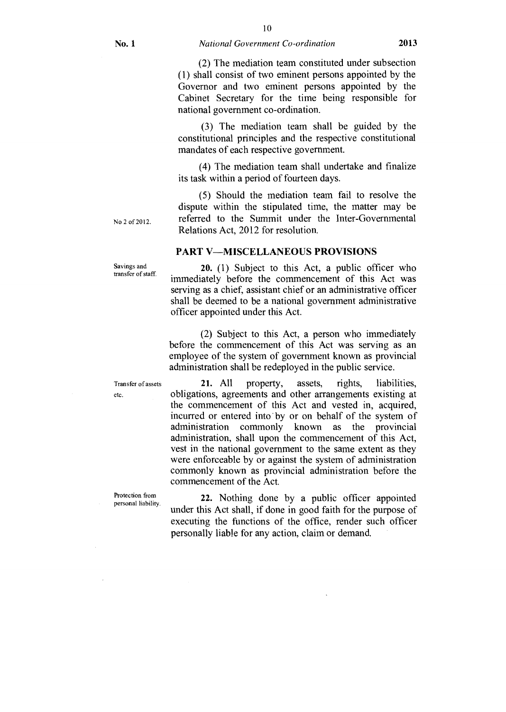# 10 **No. 1** *National Government Co-ordination* **2013**

(2) The mediation team constituted under subsection (1) shall consist of two eminent persons appointed by the Governor and two eminent persons appointed by the Cabinet Secretary for the time being responsible for national government co-ordination.

(3) The mediation team shall be guided by the constitutional principles and the respective constitutional mandates of each respective government.

(4) The mediation team shall undertake and finalize its task within a period of fourteen days.

(5) Should the mediation team fail to resolve the dispute within the stipulated time, the matter may be referred to the Summit under the Inter-Governmental Relations Act, 2012 for resolution.

# PART V—MISCELLANEOUS PROVISIONS

20. (1) Subject to this Act, a public officer who immediately before the commencement of this Act was serving as a chief, assistant chief or an administrative officer shall be deemed to be a national government administrative officer appointed under this Act.

(2) Subject to this Act, a person who immediately before the commencement of this Act was serving as an employee of the system of government known as provincial administration shall be redeployed in the public service.

Transfer of assets **21.** All property, assets, rights, liabilities, etc. obligations, agreements and other arrangements existing at the commencement of this Act and vested in, acquired, incurred or entered into' by or on behalf of the system of administration commonly known as the provincial administration, shall upon the commencement of this Act, vest in the national government to the same extent as they were enforceable by or against the system of administration commonly known as provincial administration before the commencement of the Act.

Protection from<br>personal liability.

22. Nothing done by a public officer appointed under this Act shall, if done in good faith for the purpose of executing the functions of the office, render such officer personally liable for any action, claim or demand.

No 2 of 2012.

Savings and transfer of staff.